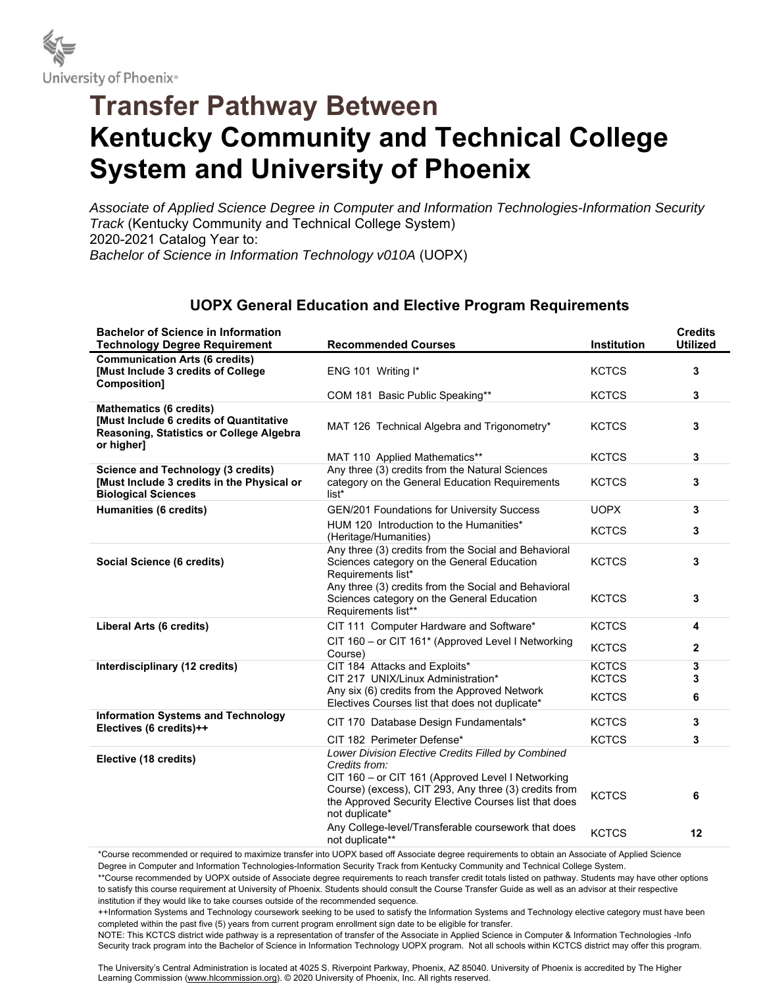

## **Transfer Pathway Between Kentucky Community and Technical College System and University of Phoenix**

*Associate of Applied Science Degree in Computer and Information Technologies-Information Security Track* (Kentucky Community and Technical College System) 2020-2021 Catalog Year to: *Bachelor of Science in Information Technology v010A* (UOPX)

## **UOPX General Education and Elective Program Requirements**

| <b>Bachelor of Science in Information</b><br><b>Technology Degree Requirement</b>                                                         | <b>Recommended Courses</b>                                                                                                       | Institution  | <b>Credits</b><br><b>Utilized</b> |
|-------------------------------------------------------------------------------------------------------------------------------------------|----------------------------------------------------------------------------------------------------------------------------------|--------------|-----------------------------------|
| <b>Communication Arts (6 credits)</b><br>[Must Include 3 credits of College<br>Composition]                                               | ENG 101 Writing I*                                                                                                               | <b>KCTCS</b> | 3                                 |
|                                                                                                                                           | COM 181 Basic Public Speaking**                                                                                                  | <b>KCTCS</b> | 3                                 |
| <b>Mathematics (6 credits)</b><br><b>Must Include 6 credits of Quantitative</b><br>Reasoning, Statistics or College Algebra<br>or higher] | MAT 126 Technical Algebra and Trigonometry*                                                                                      | <b>KCTCS</b> | 3                                 |
|                                                                                                                                           | MAT 110 Applied Mathematics**                                                                                                    | <b>KCTCS</b> | 3                                 |
| <b>Science and Technology (3 credits)</b><br>[Must Include 3 credits in the Physical or<br><b>Biological Sciences</b>                     | Any three (3) credits from the Natural Sciences<br>category on the General Education Requirements<br>list*                       | <b>KCTCS</b> | 3                                 |
| <b>Humanities (6 credits)</b>                                                                                                             | GEN/201 Foundations for University Success                                                                                       | <b>UOPX</b>  | 3                                 |
|                                                                                                                                           | HUM 120 Introduction to the Humanities*<br>(Heritage/Humanities)                                                                 | <b>KCTCS</b> | 3                                 |
| Social Science (6 credits)                                                                                                                | Any three (3) credits from the Social and Behavioral<br>Sciences category on the General Education<br>Requirements list*         | <b>KCTCS</b> | 3                                 |
|                                                                                                                                           | Any three (3) credits from the Social and Behavioral<br>Sciences category on the General Education<br>Requirements list**        | <b>KCTCS</b> | 3                                 |
| Liberal Arts (6 credits)                                                                                                                  | CIT 111 Computer Hardware and Software*                                                                                          | <b>KCTCS</b> | 4                                 |
|                                                                                                                                           | CIT 160 - or CIT 161* (Approved Level I Networking<br>Course)                                                                    | <b>KCTCS</b> | $\mathbf{2}$                      |
| Interdisciplinary (12 credits)                                                                                                            | CIT 184 Attacks and Exploits*                                                                                                    | <b>KCTCS</b> | 3                                 |
|                                                                                                                                           | CIT 217 UNIX/Linux Administration*<br>Any six (6) credits from the Approved Network                                              | <b>KCTCS</b> | 3                                 |
|                                                                                                                                           | Electives Courses list that does not duplicate*                                                                                  | <b>KCTCS</b> | 6                                 |
| <b>Information Systems and Technology</b><br>Electives (6 credits)++                                                                      | CIT 170 Database Design Fundamentals*                                                                                            | <b>KCTCS</b> | 3                                 |
|                                                                                                                                           | CIT 182 Perimeter Defense*                                                                                                       | <b>KCTCS</b> | 3                                 |
| Elective (18 credits)                                                                                                                     | Lower Division Elective Credits Filled by Combined<br>Credits from:<br>CIT 160 - or CIT 161 (Approved Level I Networking         |              |                                   |
|                                                                                                                                           | Course) (excess), CIT 293, Any three (3) credits from<br>the Approved Security Elective Courses list that does<br>not duplicate* | <b>KCTCS</b> | 6                                 |
|                                                                                                                                           | Any College-level/Transferable coursework that does<br>not duplicate**                                                           | <b>KCTCS</b> | 12                                |

\*Course recommended or required to maximize transfer into UOPX based off Associate degree requirements to obtain an Associate of Applied Science Degree in Computer and Information Technologies-Information Security Track from Kentucky Community and Technical College System.

\*\*Course recommended by UOPX outside of Associate degree requirements to reach transfer credit totals listed on pathway. Students may have other options to satisfy this course requirement at University of Phoenix. Students should consult the Course Transfer Guide as well as an advisor at their respective institution if they would like to take courses outside of the recommended sequence.

++Information Systems and Technology coursework seeking to be used to satisfy the Information Systems and Technology elective category must have been completed within the past five (5) years from current program enrollment sign date to be eligible for transfer.

NOTE: This KCTCS district wide pathway is a representation of transfer of the Associate in Applied Science in Computer & Information Technologies -Info Security track program into the Bachelor of Science in Information Technology UOPX program. Not all schools within KCTCS district may offer this program.

The University's Central Administration is located at 4025 S. Riverpoint Parkway, Phoenix, AZ 85040. University of Phoenix is accredited by The Higher Learning Commission (www.hlcommission.org). © 2020 University of Phoenix, Inc. All rights reserved.